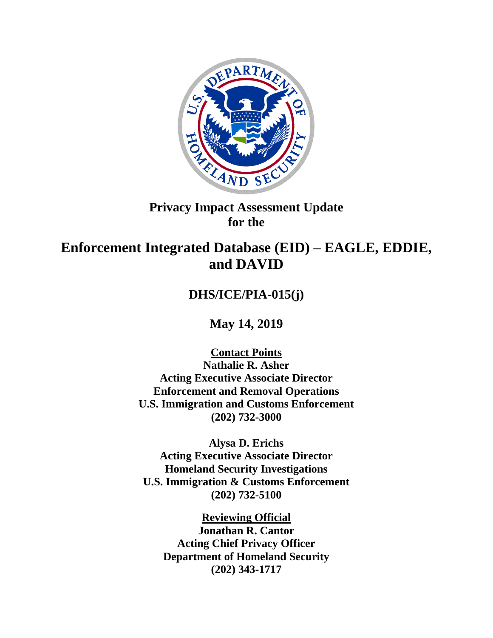

## **Privacy Impact Assessment Update for the**

# **Enforcement Integrated Database (EID) – EAGLE, EDDIE, and DAVID**

# **DHS/ICE/PIA-015(j)**

**May 14, 2019**

**Contact Points Nathalie R. Asher Acting Executive Associate Director Enforcement and Removal Operations U.S. Immigration and Customs Enforcement (202) 732-3000**

**Alysa D. Erichs Acting Executive Associate Director Homeland Security Investigations U.S. Immigration & Customs Enforcement (202) 732-5100**

**Reviewing Official Jonathan R. Cantor Acting Chief Privacy Officer Department of Homeland Security (202) 343-1717**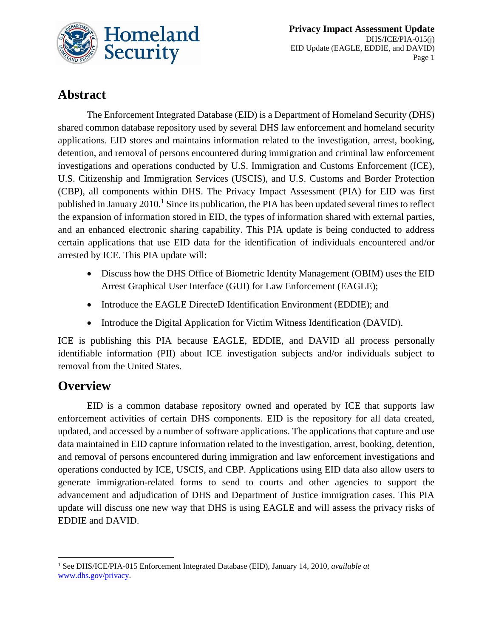

# **Abstract**

The Enforcement Integrated Database (EID) is a Department of Homeland Security (DHS) shared common database repository used by several DHS law enforcement and homeland security applications. EID stores and maintains information related to the investigation, arrest, booking, detention, and removal of persons encountered during immigration and criminal law enforcement investigations and operations conducted by U.S. Immigration and Customs Enforcement (ICE), U.S. Citizenship and Immigration Services (USCIS), and U.S. Customs and Border Protection (CBP), all components within DHS. The Privacy Impact Assessment (PIA) for EID was first published in January  $2010<sup>1</sup>$  Since its publication, the PIA has been updated several times to reflect the expansion of information stored in EID, the types of information shared with external parties, and an enhanced electronic sharing capability. This PIA update is being conducted to address certain applications that use EID data for the identification of individuals encountered and/or arrested by ICE. This PIA update will:

- Discuss how the DHS Office of Biometric Identity Management (OBIM) uses the EID Arrest Graphical User Interface (GUI) for Law Enforcement (EAGLE);
- Introduce the EAGLE DirecteD Identification Environment (EDDIE); and
- Introduce the Digital Application for Victim Witness Identification (DAVID).

ICE is publishing this PIA because EAGLE, EDDIE, and DAVID all process personally identifiable information (PII) about ICE investigation subjects and/or individuals subject to removal from the United States.

# **Overview**

EID is a common database repository owned and operated by ICE that supports law enforcement activities of certain DHS components. EID is the repository for all data created, updated, and accessed by a number of software applications. The applications that capture and use data maintained in EID capture information related to the investigation, arrest, booking, detention, and removal of persons encountered during immigration and law enforcement investigations and operations conducted by ICE, USCIS, and CBP. Applications using EID data also allow users to generate immigration-related forms to send to courts and other agencies to support the advancement and adjudication of DHS and Department of Justice immigration cases. This PIA update will discuss one new way that DHS is using EAGLE and will assess the privacy risks of EDDIE and DAVID.

 $\overline{a}$ <sup>1</sup> See DHS/ICE/PIA-015 Enforcement Integrated Database (EID), January 14, 2010, *available at* [www.dhs.gov/privacy.](http://www.dhs.gov/privacy)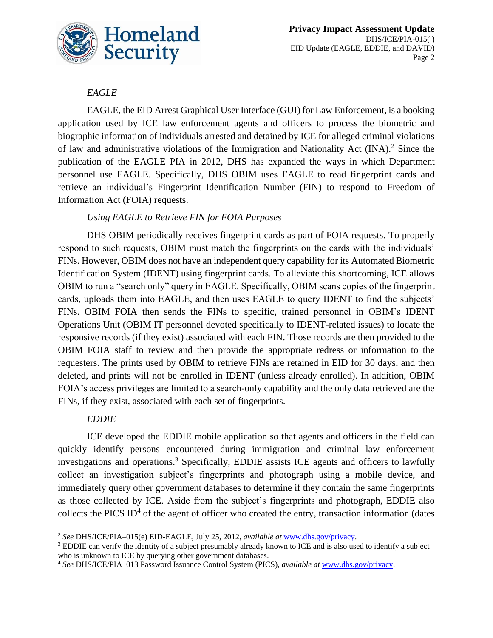

## *EAGLE*

EAGLE, the EID Arrest Graphical User Interface (GUI) for Law Enforcement, is a booking application used by ICE law enforcement agents and officers to process the biometric and biographic information of individuals arrested and detained by ICE for alleged criminal violations of law and administrative violations of the Immigration and Nationality Act (INA).<sup>2</sup> Since the publication of the EAGLE PIA in 2012, DHS has expanded the ways in which Department personnel use EAGLE. Specifically, DHS OBIM uses EAGLE to read fingerprint cards and retrieve an individual's Fingerprint Identification Number (FIN) to respond to Freedom of Information Act (FOIA) requests.

### *Using EAGLE to Retrieve FIN for FOIA Purposes*

DHS OBIM periodically receives fingerprint cards as part of FOIA requests. To properly respond to such requests, OBIM must match the fingerprints on the cards with the individuals' FINs. However, OBIM does not have an independent query capability for its Automated Biometric Identification System (IDENT) using fingerprint cards. To alleviate this shortcoming, ICE allows OBIM to run a "search only" query in EAGLE. Specifically, OBIM scans copies of the fingerprint cards, uploads them into EAGLE, and then uses EAGLE to query IDENT to find the subjects' FINs. OBIM FOIA then sends the FINs to specific, trained personnel in OBIM's IDENT Operations Unit (OBIM IT personnel devoted specifically to IDENT-related issues) to locate the responsive records (if they exist) associated with each FIN. Those records are then provided to the OBIM FOIA staff to review and then provide the appropriate redress or information to the requesters. The prints used by OBIM to retrieve FINs are retained in EID for 30 days, and then deleted, and prints will not be enrolled in IDENT (unless already enrolled). In addition, OBIM FOIA's access privileges are limited to a search-only capability and the only data retrieved are the FINs, if they exist, associated with each set of fingerprints.

## *EDDIE*

ICE developed the EDDIE mobile application so that agents and officers in the field can quickly identify persons encountered during immigration and criminal law enforcement investigations and operations. <sup>3</sup> Specifically, EDDIE assists ICE agents and officers to lawfully collect an investigation subject's fingerprints and photograph using a mobile device, and immediately query other government databases to determine if they contain the same fingerprints as those collected by ICE. Aside from the subject's fingerprints and photograph, EDDIE also collects the PICS ID<sup>4</sup> of the agent of officer who created the entry, transaction information (dates

 $\overline{a}$ <sup>2</sup> *See* DHS/ICE/PIA–015(e) EID-EAGLE, July 25, 2012, *available at* [www.dhs.gov/privacy.](http://www.dhs.gov/privacy)

<sup>&</sup>lt;sup>3</sup> EDDIE can verify the identity of a subject presumably already known to ICE and is also used to identify a subject who is unknown to ICE by querying other government databases.

<sup>4</sup> *See* DHS/ICE/PIA–013 Password Issuance Control System (PICS), *available at* [www.dhs.gov/privacy.](http://www.dhs.gov/privacy)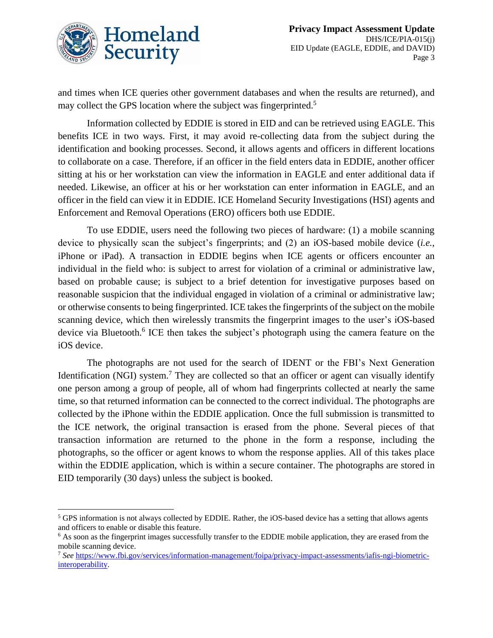

and times when ICE queries other government databases and when the results are returned), and may collect the GPS location where the subject was fingerprinted.<sup>5</sup>

Information collected by EDDIE is stored in EID and can be retrieved using EAGLE. This benefits ICE in two ways. First, it may avoid re-collecting data from the subject during the identification and booking processes. Second, it allows agents and officers in different locations to collaborate on a case. Therefore, if an officer in the field enters data in EDDIE, another officer sitting at his or her workstation can view the information in EAGLE and enter additional data if needed. Likewise, an officer at his or her workstation can enter information in EAGLE, and an officer in the field can view it in EDDIE. ICE Homeland Security Investigations (HSI) agents and Enforcement and Removal Operations (ERO) officers both use EDDIE.

To use EDDIE, users need the following two pieces of hardware: (1) a mobile scanning device to physically scan the subject's fingerprints; and (2) an iOS-based mobile device (*i.e.*, iPhone or iPad). A transaction in EDDIE begins when ICE agents or officers encounter an individual in the field who: is subject to arrest for violation of a criminal or administrative law, based on probable cause; is subject to a brief detention for investigative purposes based on reasonable suspicion that the individual engaged in violation of a criminal or administrative law; or otherwise consents to being fingerprinted. ICE takes the fingerprints of the subject on the mobile scanning device, which then wirelessly transmits the fingerprint images to the user's iOS-based device via Bluetooth.<sup>6</sup> ICE then takes the subject's photograph using the camera feature on the iOS device.

The photographs are not used for the search of IDENT or the FBI's Next Generation Identification (NGI) system.<sup>7</sup> They are collected so that an officer or agent can visually identify one person among a group of people, all of whom had fingerprints collected at nearly the same time, so that returned information can be connected to the correct individual. The photographs are collected by the iPhone within the EDDIE application. Once the full submission is transmitted to the ICE network, the original transaction is erased from the phone. Several pieces of that transaction information are returned to the phone in the form a response, including the photographs, so the officer or agent knows to whom the response applies. All of this takes place within the EDDIE application, which is within a secure container. The photographs are stored in EID temporarily (30 days) unless the subject is booked.

<sup>1</sup> <sup>5</sup> GPS information is not always collected by EDDIE. Rather, the iOS-based device has a setting that allows agents and officers to enable or disable this feature.

<sup>&</sup>lt;sup>6</sup> As soon as the fingerprint images successfully transfer to the EDDIE mobile application, they are erased from the mobile scanning device.

<sup>7</sup> *See* [https://www.fbi.gov/services/information-management/foipa/privacy-impact-assessments/iafis-ngi-biometric](https://www.fbi.gov/services/information-management/foipa/privacy-impact-assessments/iafis-ngi-biometric-interoperability)[interoperability.](https://www.fbi.gov/services/information-management/foipa/privacy-impact-assessments/iafis-ngi-biometric-interoperability)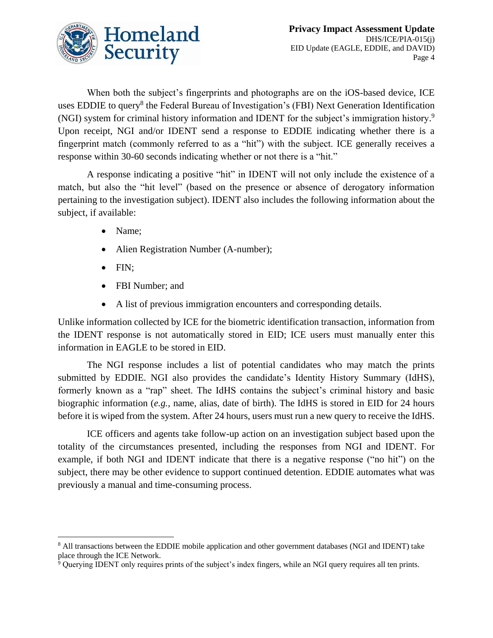

When both the subject's fingerprints and photographs are on the iOS-based device, ICE uses EDDIE to query<sup>8</sup> the Federal Bureau of Investigation's (FBI) Next Generation Identification (NGI) system for criminal history information and IDENT for the subject's immigration history. 9 Upon receipt, NGI and/or IDENT send a response to EDDIE indicating whether there is a fingerprint match (commonly referred to as a "hit") with the subject. ICE generally receives a response within 30-60 seconds indicating whether or not there is a "hit."

A response indicating a positive "hit" in IDENT will not only include the existence of a match, but also the "hit level" (based on the presence or absence of derogatory information pertaining to the investigation subject). IDENT also includes the following information about the subject, if available:

- Name;
- Alien Registration Number (A-number);
- FIN:
- FBI Number; and
- A list of previous immigration encounters and corresponding details.

Unlike information collected by ICE for the biometric identification transaction, information from the IDENT response is not automatically stored in EID; ICE users must manually enter this information in EAGLE to be stored in EID.

The NGI response includes a list of potential candidates who may match the prints submitted by EDDIE. NGI also provides the candidate's Identity History Summary (IdHS), formerly known as a "rap" sheet. The IdHS contains the subject's criminal history and basic biographic information (*e.g.,* name, alias, date of birth). The IdHS is stored in EID for 24 hours before it is wiped from the system. After 24 hours, users must run a new query to receive the IdHS.

ICE officers and agents take follow-up action on an investigation subject based upon the totality of the circumstances presented, including the responses from NGI and IDENT. For example, if both NGI and IDENT indicate that there is a negative response ("no hit") on the subject, there may be other evidence to support continued detention. EDDIE automates what was previously a manual and time-consuming process.

<sup>1</sup> <sup>8</sup> All transactions between the EDDIE mobile application and other government databases (NGI and IDENT) take place through the ICE Network.

 $\frac{1}{9}$  Querying IDENT only requires prints of the subject's index fingers, while an NGI query requires all ten prints.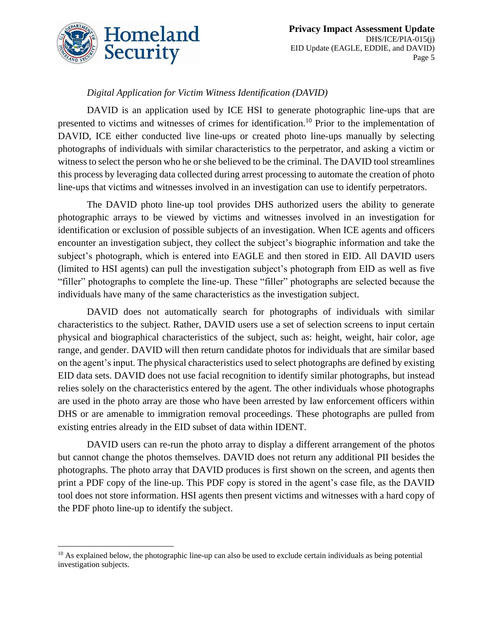

 $\overline{a}$ 

## *Digital Application for Victim Witness Identification (DAVID)*

DAVID is an application used by ICE HSI to generate photographic line-ups that are presented to victims and witnesses of crimes for identification.<sup>10</sup> Prior to the implementation of DAVID, ICE either conducted live line-ups or created photo line-ups manually by selecting photographs of individuals with similar characteristics to the perpetrator, and asking a victim or witness to select the person who he or she believed to be the criminal. The DAVID tool streamlines this process by leveraging data collected during arrest processing to automate the creation of photo line-ups that victims and witnesses involved in an investigation can use to identify perpetrators.

The DAVID photo line-up tool provides DHS authorized users the ability to generate photographic arrays to be viewed by victims and witnesses involved in an investigation for identification or exclusion of possible subjects of an investigation. When ICE agents and officers encounter an investigation subject, they collect the subject's biographic information and take the subject's photograph, which is entered into EAGLE and then stored in EID. All DAVID users (limited to HSI agents) can pull the investigation subject's photograph from EID as well as five "filler" photographs to complete the line-up. These "filler" photographs are selected because the individuals have many of the same characteristics as the investigation subject.

DAVID does not automatically search for photographs of individuals with similar characteristics to the subject. Rather, DAVID users use a set of selection screens to input certain physical and biographical characteristics of the subject, such as: height, weight, hair color, age range, and gender. DAVID will then return candidate photos for individuals that are similar based on the agent's input. The physical characteristics used to select photographs are defined by existing EID data sets. DAVID does not use facial recognition to identify similar photographs, but instead relies solely on the characteristics entered by the agent. The other individuals whose photographs are used in the photo array are those who have been arrested by law enforcement officers within DHS or are amenable to immigration removal proceedings. These photographs are pulled from existing entries already in the EID subset of data within IDENT.

DAVID users can re-run the photo array to display a different arrangement of the photos but cannot change the photos themselves. DAVID does not return any additional PII besides the photographs. The photo array that DAVID produces is first shown on the screen, and agents then print a PDF copy of the line-up. This PDF copy is stored in the agent's case file, as the DAVID tool does not store information. HSI agents then present victims and witnesses with a hard copy of the PDF photo line-up to identify the subject.

 $10$  As explained below, the photographic line-up can also be used to exclude certain individuals as being potential investigation subjects.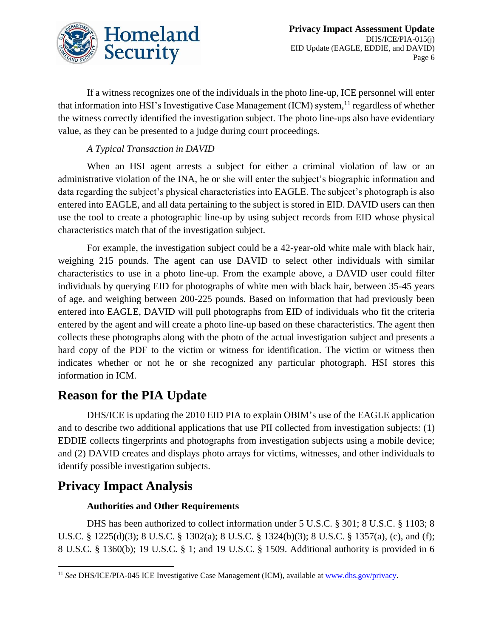

If a witness recognizes one of the individuals in the photo line-up, ICE personnel will enter that information into HSI's Investigative Case Management (ICM) system, <sup>11</sup> regardless of whether the witness correctly identified the investigation subject. The photo line-ups also have evidentiary value, as they can be presented to a judge during court proceedings.

## *A Typical Transaction in DAVID*

When an HSI agent arrests a subject for either a criminal violation of law or an administrative violation of the INA, he or she will enter the subject's biographic information and data regarding the subject's physical characteristics into EAGLE. The subject's photograph is also entered into EAGLE, and all data pertaining to the subject is stored in EID. DAVID users can then use the tool to create a photographic line-up by using subject records from EID whose physical characteristics match that of the investigation subject.

For example, the investigation subject could be a 42-year-old white male with black hair, weighing 215 pounds. The agent can use DAVID to select other individuals with similar characteristics to use in a photo line-up. From the example above, a DAVID user could filter individuals by querying EID for photographs of white men with black hair, between 35-45 years of age, and weighing between 200-225 pounds. Based on information that had previously been entered into EAGLE, DAVID will pull photographs from EID of individuals who fit the criteria entered by the agent and will create a photo line-up based on these characteristics. The agent then collects these photographs along with the photo of the actual investigation subject and presents a hard copy of the PDF to the victim or witness for identification. The victim or witness then indicates whether or not he or she recognized any particular photograph. HSI stores this information in ICM.

## **Reason for the PIA Update**

DHS/ICE is updating the 2010 EID PIA to explain OBIM's use of the EAGLE application and to describe two additional applications that use PII collected from investigation subjects: (1) EDDIE collects fingerprints and photographs from investigation subjects using a mobile device; and (2) DAVID creates and displays photo arrays for victims, witnesses, and other individuals to identify possible investigation subjects.

## **Privacy Impact Analysis**

 $\overline{a}$ 

#### **Authorities and Other Requirements**

DHS has been authorized to collect information under 5 U.S.C. § 301; 8 U.S.C. § 1103; 8 U.S.C. § 1225(d)(3); 8 U.S.C. § 1302(a); 8 U.S.C. § 1324(b)(3); 8 U.S.C. § 1357(a), (c), and (f); 8 U.S.C. § 1360(b); 19 U.S.C. § 1; and 19 U.S.C. § 1509. Additional authority is provided in 6

<sup>&</sup>lt;sup>11</sup> See DHS/ICE/PIA-045 ICE Investigative Case Management (ICM), available at [www.dhs.gov/privacy.](http://www.dhs.gov/privacy)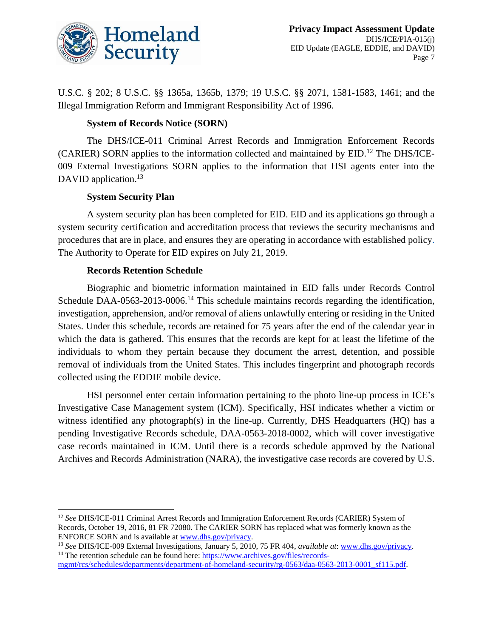

U.S.C. § 202; 8 U.S.C. §§ 1365a, 1365b, 1379; 19 U.S.C. §§ 2071, 1581-1583, 1461; and the Illegal Immigration Reform and Immigrant Responsibility Act of 1996.

#### **System of Records Notice (SORN)**

The DHS/ICE-011 Criminal Arrest Records and Immigration Enforcement Records (CARIER) SORN applies to the information collected and maintained by EID.<sup>12</sup> The DHS/ICE-009 External Investigations SORN applies to the information that HSI agents enter into the DAVID application.<sup>13</sup>

#### **System Security Plan**

A system security plan has been completed for EID. EID and its applications go through a system security certification and accreditation process that reviews the security mechanisms and procedures that are in place, and ensures they are operating in accordance with established policy. The Authority to Operate for EID expires on July 21, 2019.

#### **Records Retention Schedule**

Biographic and biometric information maintained in EID falls under Records Control Schedule DAA-0563-2013-0006.<sup>14</sup> This schedule maintains records regarding the identification, investigation, apprehension, and/or removal of aliens unlawfully entering or residing in the United States. Under this schedule, records are retained for 75 years after the end of the calendar year in which the data is gathered. This ensures that the records are kept for at least the lifetime of the individuals to whom they pertain because they document the arrest, detention, and possible removal of individuals from the United States. This includes fingerprint and photograph records collected using the EDDIE mobile device.

HSI personnel enter certain information pertaining to the photo line-up process in ICE's Investigative Case Management system (ICM). Specifically, HSI indicates whether a victim or witness identified any photograph(s) in the line-up. Currently, DHS Headquarters (HQ) has a pending Investigative Records schedule, DAA-0563-2018-0002, which will cover investigative case records maintained in ICM. Until there is a records schedule approved by the National Archives and Records Administration (NARA), the investigative case records are covered by U.S.

 $\overline{a}$ <sup>12</sup> See DHS/ICE-011 Criminal Arrest Records and Immigration Enforcement Records (CARIER) System of Records, October 19, 2016, 81 FR 72080. The CARIER SORN has replaced what was formerly known as the ENFORCE SORN and is available a[t www.dhs.gov/privacy.](http://www.dhs.gov/privacy)

<sup>13</sup> *See* DHS/ICE-009 External Investigations, January 5, 2010, 75 FR 404, *available at*: [www.dhs.gov/privacy.](http://www.dhs.gov/privacy) <sup>14</sup> The retention schedule can be found here: [https://www.archives.gov/files/records-](https://www.archives.gov/files/records-mgmt/rcs/schedules/departments/department-of-homeland-security/rg-0563/daa-0563-2013-0001_sf115.pdf)

[mgmt/rcs/schedules/departments/department-of-homeland-security/rg-0563/daa-0563-2013-0001\\_sf115.pdf.](https://www.archives.gov/files/records-mgmt/rcs/schedules/departments/department-of-homeland-security/rg-0563/daa-0563-2013-0001_sf115.pdf)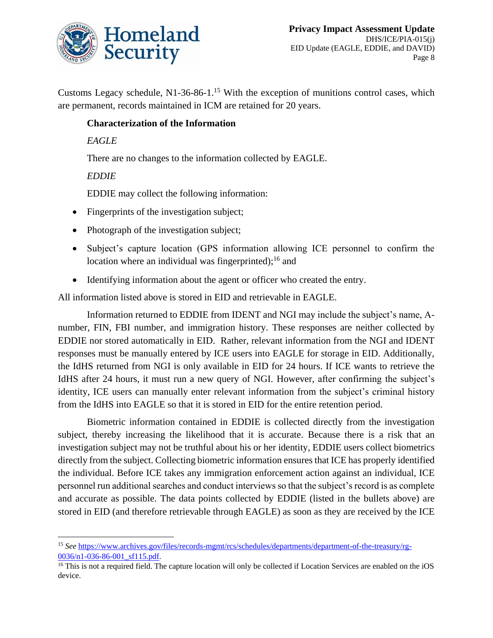

Customs Legacy schedule, N1-36-86-1.<sup>15</sup> With the exception of munitions control cases, which are permanent, records maintained in ICM are retained for 20 years.

#### **Characterization of the Information**

#### *EAGLE*

There are no changes to the information collected by EAGLE.

#### *EDDIE*

 $\overline{a}$ 

EDDIE may collect the following information:

- Fingerprints of the investigation subject;
- Photograph of the investigation subject;
- Subject's capture location (GPS information allowing ICE personnel to confirm the location where an individual was fingerprinted); $^{16}$  and
- Identifying information about the agent or officer who created the entry.

All information listed above is stored in EID and retrievable in EAGLE.

Information returned to EDDIE from IDENT and NGI may include the subject's name, Anumber, FIN, FBI number, and immigration history. These responses are neither collected by EDDIE nor stored automatically in EID. Rather, relevant information from the NGI and IDENT responses must be manually entered by ICE users into EAGLE for storage in EID. Additionally, the IdHS returned from NGI is only available in EID for 24 hours. If ICE wants to retrieve the IdHS after 24 hours, it must run a new query of NGI. However, after confirming the subject's identity, ICE users can manually enter relevant information from the subject's criminal history from the IdHS into EAGLE so that it is stored in EID for the entire retention period.

Biometric information contained in EDDIE is collected directly from the investigation subject, thereby increasing the likelihood that it is accurate. Because there is a risk that an investigation subject may not be truthful about his or her identity, EDDIE users collect biometrics directly from the subject. Collecting biometric information ensures that ICE has properly identified the individual. Before ICE takes any immigration enforcement action against an individual, ICE personnel run additional searches and conduct interviews so that the subject's record is as complete and accurate as possible. The data points collected by EDDIE (listed in the bullets above) are stored in EID (and therefore retrievable through EAGLE) as soon as they are received by the ICE

<sup>15</sup> *See* [https://www.archives.gov/files/records-mgmt/rcs/schedules/departments/department-of-the-treasury/rg-](https://www.archives.gov/files/records-mgmt/rcs/schedules/departments/department-of-the-treasury/rg-0036/n1-036-86-001_sf115.pdf)0036/n1-036-86-001 sf115.pdf.

<sup>&</sup>lt;sup>16</sup> This is not a required field. The capture location will only be collected if Location Services are enabled on the iOS device.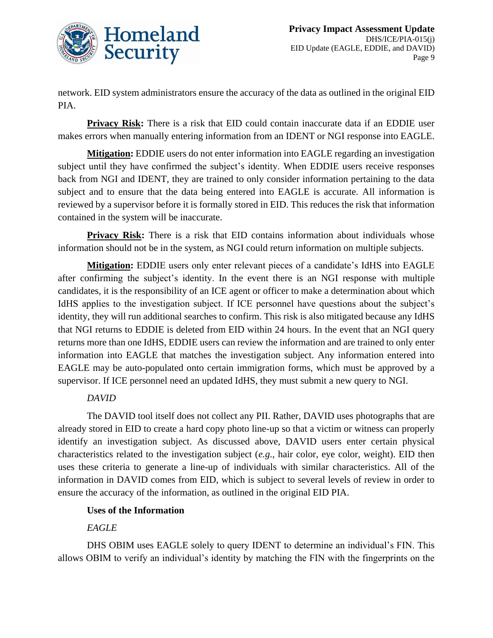

network. EID system administrators ensure the accuracy of the data as outlined in the original EID PIA.

**Privacy Risk:** There is a risk that EID could contain inaccurate data if an EDDIE user makes errors when manually entering information from an IDENT or NGI response into EAGLE.

**Mitigation:** EDDIE users do not enter information into EAGLE regarding an investigation subject until they have confirmed the subject's identity. When EDDIE users receive responses back from NGI and IDENT, they are trained to only consider information pertaining to the data subject and to ensure that the data being entered into EAGLE is accurate. All information is reviewed by a supervisor before it is formally stored in EID. This reduces the risk that information contained in the system will be inaccurate.

**Privacy Risk:** There is a risk that EID contains information about individuals whose information should not be in the system, as NGI could return information on multiple subjects.

**Mitigation:** EDDIE users only enter relevant pieces of a candidate's IdHS into EAGLE after confirming the subject's identity. In the event there is an NGI response with multiple candidates, it is the responsibility of an ICE agent or officer to make a determination about which IdHS applies to the investigation subject. If ICE personnel have questions about the subject's identity, they will run additional searches to confirm. This risk is also mitigated because any IdHS that NGI returns to EDDIE is deleted from EID within 24 hours. In the event that an NGI query returns more than one IdHS, EDDIE users can review the information and are trained to only enter information into EAGLE that matches the investigation subject. Any information entered into EAGLE may be auto-populated onto certain immigration forms, which must be approved by a supervisor. If ICE personnel need an updated IdHS, they must submit a new query to NGI.

## *DAVID*

The DAVID tool itself does not collect any PII. Rather, DAVID uses photographs that are already stored in EID to create a hard copy photo line-up so that a victim or witness can properly identify an investigation subject. As discussed above, DAVID users enter certain physical characteristics related to the investigation subject (*e.g.,* hair color, eye color, weight). EID then uses these criteria to generate a line-up of individuals with similar characteristics. All of the information in DAVID comes from EID, which is subject to several levels of review in order to ensure the accuracy of the information, as outlined in the original EID PIA.

## **Uses of the Information**

## *EAGLE*

DHS OBIM uses EAGLE solely to query IDENT to determine an individual's FIN. This allows OBIM to verify an individual's identity by matching the FIN with the fingerprints on the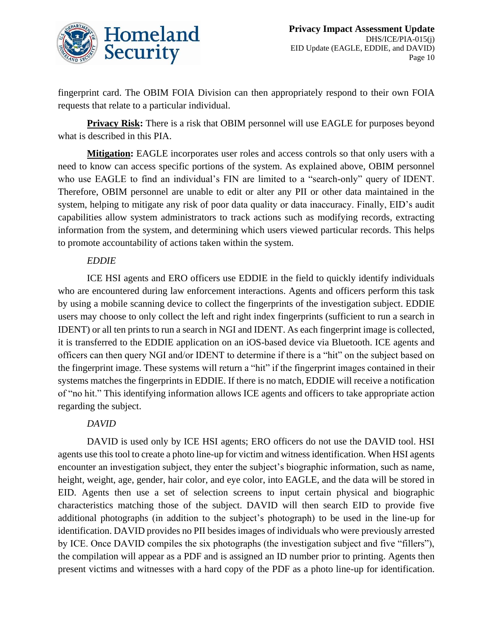

fingerprint card. The OBIM FOIA Division can then appropriately respond to their own FOIA requests that relate to a particular individual.

**Privacy Risk:** There is a risk that OBIM personnel will use EAGLE for purposes beyond what is described in this PIA.

**Mitigation:** EAGLE incorporates user roles and access controls so that only users with a need to know can access specific portions of the system. As explained above, OBIM personnel who use EAGLE to find an individual's FIN are limited to a "search-only" query of IDENT. Therefore, OBIM personnel are unable to edit or alter any PII or other data maintained in the system, helping to mitigate any risk of poor data quality or data inaccuracy. Finally, EID's audit capabilities allow system administrators to track actions such as modifying records, extracting information from the system, and determining which users viewed particular records. This helps to promote accountability of actions taken within the system.

#### *EDDIE*

ICE HSI agents and ERO officers use EDDIE in the field to quickly identify individuals who are encountered during law enforcement interactions. Agents and officers perform this task by using a mobile scanning device to collect the fingerprints of the investigation subject. EDDIE users may choose to only collect the left and right index fingerprints (sufficient to run a search in IDENT) or all ten prints to run a search in NGI and IDENT. As each fingerprint image is collected, it is transferred to the EDDIE application on an iOS-based device via Bluetooth. ICE agents and officers can then query NGI and/or IDENT to determine if there is a "hit" on the subject based on the fingerprint image. These systems will return a "hit" if the fingerprint images contained in their systems matches the fingerprints in EDDIE. If there is no match, EDDIE will receive a notification of "no hit." This identifying information allows ICE agents and officers to take appropriate action regarding the subject.

#### *DAVID*

DAVID is used only by ICE HSI agents; ERO officers do not use the DAVID tool. HSI agents use this tool to create a photo line-up for victim and witness identification. When HSI agents encounter an investigation subject, they enter the subject's biographic information, such as name, height, weight, age, gender, hair color, and eye color, into EAGLE, and the data will be stored in EID. Agents then use a set of selection screens to input certain physical and biographic characteristics matching those of the subject. DAVID will then search EID to provide five additional photographs (in addition to the subject's photograph) to be used in the line-up for identification. DAVID provides no PII besides images of individuals who were previously arrested by ICE. Once DAVID compiles the six photographs (the investigation subject and five "fillers"), the compilation will appear as a PDF and is assigned an ID number prior to printing. Agents then present victims and witnesses with a hard copy of the PDF as a photo line-up for identification.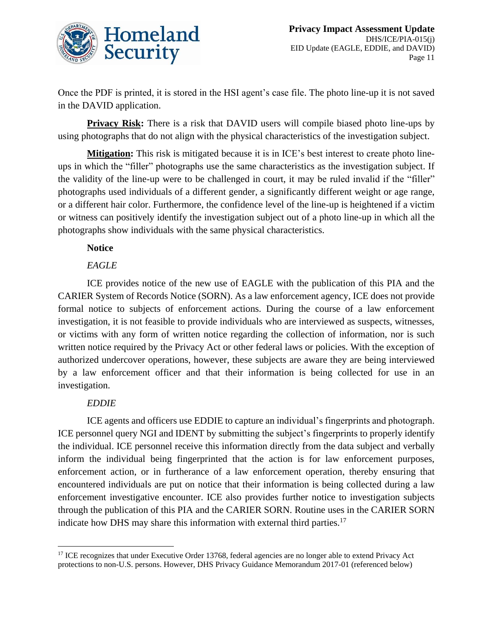

Once the PDF is printed, it is stored in the HSI agent's case file. The photo line-up it is not saved in the DAVID application.

**Privacy Risk:** There is a risk that DAVID users will compile biased photo line-ups by using photographs that do not align with the physical characteristics of the investigation subject.

**Mitigation:** This risk is mitigated because it is in ICE's best interest to create photo lineups in which the "filler" photographs use the same characteristics as the investigation subject. If the validity of the line-up were to be challenged in court, it may be ruled invalid if the "filler" photographs used individuals of a different gender, a significantly different weight or age range, or a different hair color. Furthermore, the confidence level of the line-up is heightened if a victim or witness can positively identify the investigation subject out of a photo line-up in which all the photographs show individuals with the same physical characteristics.

#### **Notice**

#### *EAGLE*

ICE provides notice of the new use of EAGLE with the publication of this PIA and the CARIER System of Records Notice (SORN). As a law enforcement agency, ICE does not provide formal notice to subjects of enforcement actions. During the course of a law enforcement investigation, it is not feasible to provide individuals who are interviewed as suspects, witnesses, or victims with any form of written notice regarding the collection of information, nor is such written notice required by the Privacy Act or other federal laws or policies. With the exception of authorized undercover operations, however, these subjects are aware they are being interviewed by a law enforcement officer and that their information is being collected for use in an investigation.

## *EDDIE*

 $\overline{a}$ 

ICE agents and officers use EDDIE to capture an individual's fingerprints and photograph. ICE personnel query NGI and IDENT by submitting the subject's fingerprints to properly identify the individual. ICE personnel receive this information directly from the data subject and verbally inform the individual being fingerprinted that the action is for law enforcement purposes, enforcement action, or in furtherance of a law enforcement operation, thereby ensuring that encountered individuals are put on notice that their information is being collected during a law enforcement investigative encounter. ICE also provides further notice to investigation subjects through the publication of this PIA and the CARIER SORN. Routine uses in the CARIER SORN indicate how DHS may share this information with external third parties.<sup>17</sup>

<sup>&</sup>lt;sup>17</sup> ICE recognizes that under Executive Order 13768, federal agencies are no longer able to extend Privacy Act protections to non-U.S. persons. However, DHS Privacy Guidance Memorandum 2017-01 (referenced below)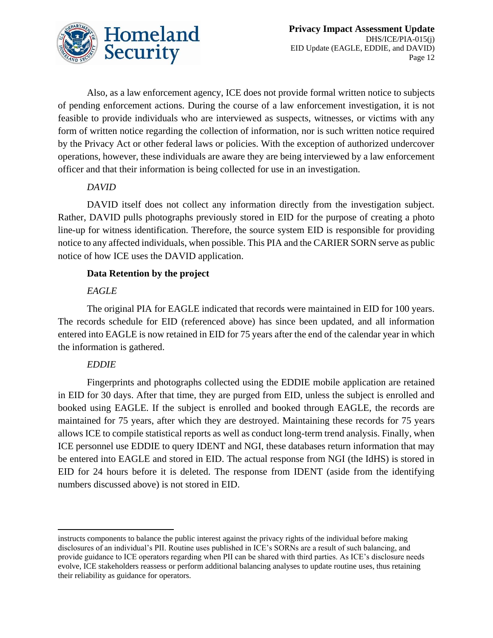

Also, as a law enforcement agency, ICE does not provide formal written notice to subjects of pending enforcement actions. During the course of a law enforcement investigation, it is not feasible to provide individuals who are interviewed as suspects, witnesses, or victims with any form of written notice regarding the collection of information, nor is such written notice required by the Privacy Act or other federal laws or policies. With the exception of authorized undercover operations, however, these individuals are aware they are being interviewed by a law enforcement officer and that their information is being collected for use in an investigation.

### *DAVID*

DAVID itself does not collect any information directly from the investigation subject. Rather, DAVID pulls photographs previously stored in EID for the purpose of creating a photo line-up for witness identification. Therefore, the source system EID is responsible for providing notice to any affected individuals, when possible. This PIA and the CARIER SORN serve as public notice of how ICE uses the DAVID application.

### **Data Retention by the project**

## *EAGLE*

The original PIA for EAGLE indicated that records were maintained in EID for 100 years. The records schedule for EID (referenced above) has since been updated, and all information entered into EAGLE is now retained in EID for 75 years after the end of the calendar year in which the information is gathered.

## *EDDIE*

Fingerprints and photographs collected using the EDDIE mobile application are retained in EID for 30 days. After that time, they are purged from EID, unless the subject is enrolled and booked using EAGLE. If the subject is enrolled and booked through EAGLE, the records are maintained for 75 years, after which they are destroyed. Maintaining these records for 75 years allows ICE to compile statistical reports as well as conduct long-term trend analysis. Finally, when ICE personnel use EDDIE to query IDENT and NGI, these databases return information that may be entered into EAGLE and stored in EID. The actual response from NGI (the IdHS) is stored in EID for 24 hours before it is deleted. The response from IDENT (aside from the identifying numbers discussed above) is not stored in EID.

 $\overline{a}$ instructs components to balance the public interest against the privacy rights of the individual before making disclosures of an individual's PII. Routine uses published in ICE's SORNs are a result of such balancing, and provide guidance to ICE operators regarding when PII can be shared with third parties. As ICE's disclosure needs evolve, ICE stakeholders reassess or perform additional balancing analyses to update routine uses, thus retaining their reliability as guidance for operators.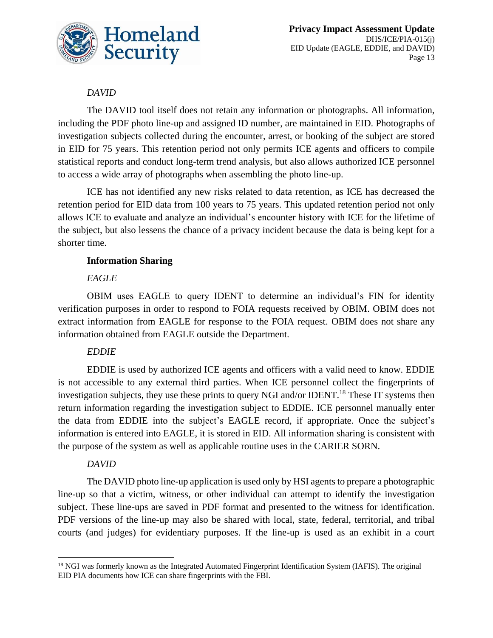

## *DAVID*

The DAVID tool itself does not retain any information or photographs. All information, including the PDF photo line-up and assigned ID number, are maintained in EID. Photographs of investigation subjects collected during the encounter, arrest, or booking of the subject are stored in EID for 75 years. This retention period not only permits ICE agents and officers to compile statistical reports and conduct long-term trend analysis, but also allows authorized ICE personnel to access a wide array of photographs when assembling the photo line-up.

ICE has not identified any new risks related to data retention, as ICE has decreased the retention period for EID data from 100 years to 75 years. This updated retention period not only allows ICE to evaluate and analyze an individual's encounter history with ICE for the lifetime of the subject, but also lessens the chance of a privacy incident because the data is being kept for a shorter time.

### **Information Sharing**

### *EAGLE*

OBIM uses EAGLE to query IDENT to determine an individual's FIN for identity verification purposes in order to respond to FOIA requests received by OBIM. OBIM does not extract information from EAGLE for response to the FOIA request. OBIM does not share any information obtained from EAGLE outside the Department.

## *EDDIE*

EDDIE is used by authorized ICE agents and officers with a valid need to know. EDDIE is not accessible to any external third parties. When ICE personnel collect the fingerprints of investigation subjects, they use these prints to query NGI and/or IDENT.<sup>18</sup> These IT systems then return information regarding the investigation subject to EDDIE. ICE personnel manually enter the data from EDDIE into the subject's EAGLE record, if appropriate. Once the subject's information is entered into EAGLE, it is stored in EID. All information sharing is consistent with the purpose of the system as well as applicable routine uses in the CARIER SORN.

#### *DAVID*

 $\overline{a}$ 

The DAVID photo line-up application is used only by HSI agents to prepare a photographic line-up so that a victim, witness, or other individual can attempt to identify the investigation subject. These line-ups are saved in PDF format and presented to the witness for identification. PDF versions of the line-up may also be shared with local, state, federal, territorial, and tribal courts (and judges) for evidentiary purposes. If the line-up is used as an exhibit in a court

<sup>&</sup>lt;sup>18</sup> NGI was formerly known as the Integrated Automated Fingerprint Identification System (IAFIS). The original EID PIA documents how ICE can share fingerprints with the FBI.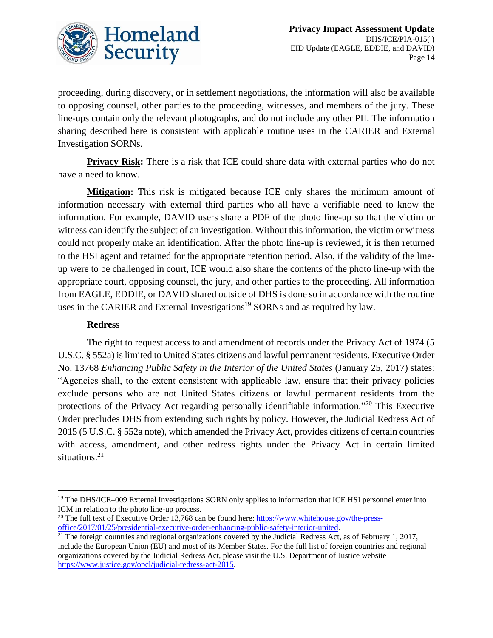

proceeding, during discovery, or in settlement negotiations, the information will also be available to opposing counsel, other parties to the proceeding, witnesses, and members of the jury. These line-ups contain only the relevant photographs, and do not include any other PII. The information sharing described here is consistent with applicable routine uses in the CARIER and External Investigation SORNs.

**Privacy Risk:** There is a risk that ICE could share data with external parties who do not have a need to know.

**Mitigation:** This risk is mitigated because ICE only shares the minimum amount of information necessary with external third parties who all have a verifiable need to know the information. For example, DAVID users share a PDF of the photo line-up so that the victim or witness can identify the subject of an investigation. Without this information, the victim or witness could not properly make an identification. After the photo line-up is reviewed, it is then returned to the HSI agent and retained for the appropriate retention period. Also, if the validity of the lineup were to be challenged in court, ICE would also share the contents of the photo line-up with the appropriate court, opposing counsel, the jury, and other parties to the proceeding. All information from EAGLE, EDDIE, or DAVID shared outside of DHS is done so in accordance with the routine uses in the CARIER and External Investigations<sup>19</sup> SORNs and as required by law.

#### **Redress**

 $\overline{a}$ 

The right to request access to and amendment of records under the Privacy Act of 1974 (5 U.S.C. § 552a) is limited to United States citizens and lawful permanent residents. Executive Order No. 13768 *Enhancing Public Safety in the Interior of the United States* (January 25, 2017) states: "Agencies shall, to the extent consistent with applicable law, ensure that their privacy policies exclude persons who are not United States citizens or lawful permanent residents from the protections of the Privacy Act regarding personally identifiable information."<sup>20</sup> This Executive Order precludes DHS from extending such rights by policy. However, the Judicial Redress Act of 2015 (5 U.S.C. § 552a note), which amended the Privacy Act, provides citizens of certain countries with access, amendment, and other redress rights under the Privacy Act in certain limited situations.<sup>21</sup>

<sup>&</sup>lt;sup>19</sup> The DHS/ICE–009 External Investigations SORN only applies to information that ICE HSI personnel enter into ICM in relation to the photo line-up process.

<sup>&</sup>lt;sup>20</sup> The full text of Executive Order 13,768 can be found here:  $\frac{https://www.whitehouse.gov/the-press-}{https://www.whitehouse.gov/the-press-}$ [office/2017/01/25/presidential-executive-order-enhancing-public-safety-interior-united.](https://www.whitehouse.gov/the-press-office/2017/01/25/presidential-executive-order-enhancing-public-safety-interior-united)

 $21$  The foreign countries and regional organizations covered by the Judicial Redress Act, as of February 1, 2017, include the European Union (EU) and most of its Member States. For the full list of foreign countries and regional organizations covered by the Judicial Redress Act, please visit the U.S. Department of Justice website [https://www.justice.gov/opcl/judicial-redress-act-2015.](https://www.justice.gov/opcl/judicial-redress-act-2015)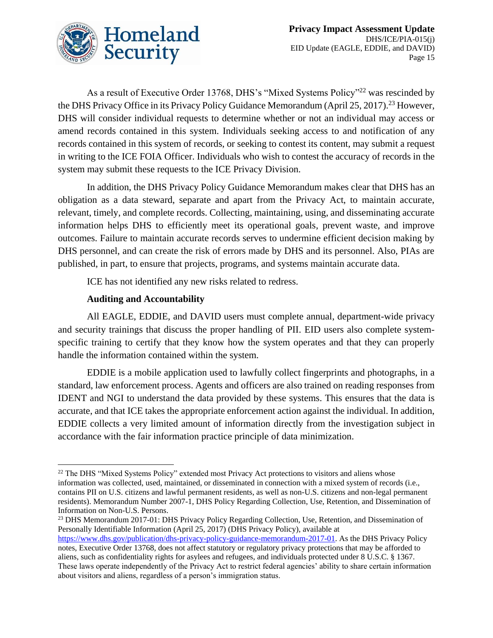

As a result of Executive Order 13768, DHS's "Mixed Systems Policy"<sup>22</sup> was rescinded by the DHS Privacy Office in its Privacy Policy Guidance Memorandum (April 25, 2017).<sup>23</sup> However, DHS will consider individual requests to determine whether or not an individual may access or amend records contained in this system. Individuals seeking access to and notification of any records contained in this system of records, or seeking to contest its content, may submit a request in writing to the ICE FOIA Officer. Individuals who wish to contest the accuracy of records in the system may submit these requests to the ICE Privacy Division.

In addition, the DHS Privacy Policy Guidance Memorandum makes clear that DHS has an obligation as a data steward, separate and apart from the Privacy Act, to maintain accurate, relevant, timely, and complete records. Collecting, maintaining, using, and disseminating accurate information helps DHS to efficiently meet its operational goals, prevent waste, and improve outcomes. Failure to maintain accurate records serves to undermine efficient decision making by DHS personnel, and can create the risk of errors made by DHS and its personnel. Also, PIAs are published, in part, to ensure that projects, programs, and systems maintain accurate data.

ICE has not identified any new risks related to redress.

#### **Auditing and Accountability**

 $\overline{a}$ 

All EAGLE, EDDIE, and DAVID users must complete annual, department-wide privacy and security trainings that discuss the proper handling of PII. EID users also complete systemspecific training to certify that they know how the system operates and that they can properly handle the information contained within the system.

EDDIE is a mobile application used to lawfully collect fingerprints and photographs, in a standard, law enforcement process. Agents and officers are also trained on reading responses from IDENT and NGI to understand the data provided by these systems. This ensures that the data is accurate, and that ICE takes the appropriate enforcement action against the individual. In addition, EDDIE collects a very limited amount of information directly from the investigation subject in accordance with the fair information practice principle of data minimization.

<sup>&</sup>lt;sup>22</sup> The DHS "Mixed Systems Policy" extended most Privacy Act protections to visitors and aliens whose information was collected, used, maintained, or disseminated in connection with a mixed system of records (i.e., contains PII on U.S. citizens and lawful permanent residents, as well as non-U.S. citizens and non-legal permanent residents). Memorandum Number 2007-1, DHS Policy Regarding Collection, Use, Retention, and Dissemination of Information on Non-U.S. Persons.

<sup>&</sup>lt;sup>23</sup> DHS Memorandum 2017-01: DHS Privacy Policy Regarding Collection, Use, Retention, and Dissemination of Personally Identifiable Information (April 25, 2017) (DHS Privacy Policy), available at

[https://www.dhs.gov/publication/dhs-privacy-policy-guidance-memorandum-2017-01.](https://www.dhs.gov/publication/dhs-privacy-policy-guidance-memorandum-2017-01) As the DHS Privacy Policy notes, Executive Order 13768, does not affect statutory or regulatory privacy protections that may be afforded to aliens, such as confidentiality rights for asylees and refugees, and individuals protected under 8 U.S.C. § 1367. These laws operate independently of the Privacy Act to restrict federal agencies' ability to share certain information about visitors and aliens, regardless of a person's immigration status.